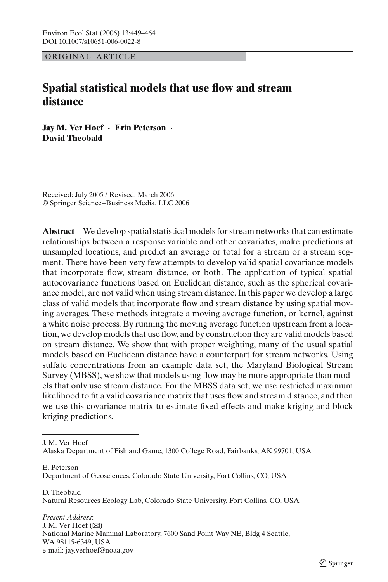ORIGINAL ARTICLE

# **Spatial statistical models that use flow and stream distance**

**Jay M. Ver Hoef · Erin Peterson · David Theobald**

Received: July 2005 / Revised: March 2006 © Springer Science+Business Media, LLC 2006

**Abstract** We develop spatial statistical models for stream networks that can estimate relationships between a response variable and other covariates, make predictions at unsampled locations, and predict an average or total for a stream or a stream segment. There have been very few attempts to develop valid spatial covariance models that incorporate flow, stream distance, or both. The application of typical spatial autocovariance functions based on Euclidean distance, such as the spherical covariance model, are not valid when using stream distance. In this paper we develop a large class of valid models that incorporate flow and stream distance by using spatial moving averages. These methods integrate a moving average function, or kernel, against a white noise process. By running the moving average function upstream from a location, we develop models that use flow, and by construction they are valid models based on stream distance. We show that with proper weighting, many of the usual spatial models based on Euclidean distance have a counterpart for stream networks. Using sulfate concentrations from an example data set, the Maryland Biological Stream Survey (MBSS), we show that models using flow may be more appropriate than models that only use stream distance. For the MBSS data set, we use restricted maximum likelihood to fit a valid covariance matrix that uses flow and stream distance, and then we use this covariance matrix to estimate fixed effects and make kriging and block kriging predictions.

J. M. Ver Hoef

Alaska Department of Fish and Game, 1300 College Road, Fairbanks, AK 99701, USA

E. Peterson Department of Geosciences, Colorado State University, Fort Collins, CO, USA

D. Theobald Natural Resources Ecology Lab, Colorado State University, Fort Collins, CO, USA

*Present Address*: J. M. Ver Hoef  $(\boxtimes)$ National Marine Mammal Laboratory, 7600 Sand Point Way NE, Bldg 4 Seattle, WA 98115-6349, USA e-mail: jay.verhoef@noaa.gov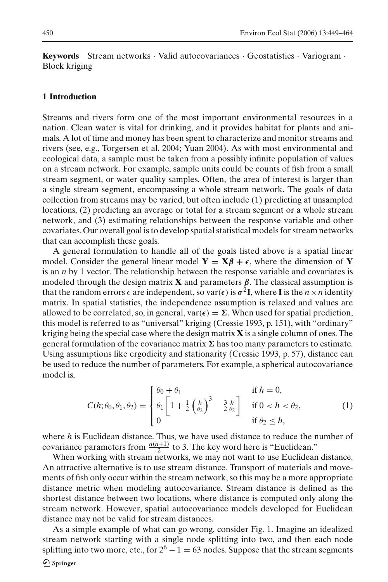**Keywords** Stream networks · Valid autocovariances · Geostatistics · Variogram · Block kriging

## **1 Introduction**

Streams and rivers form one of the most important environmental resources in a nation. Clean water is vital for drinking, and it provides habitat for plants and animals. A lot of time and money has been spent to characterize and monitor streams and rivers (see, e.g., Torgersen et al. 2004; Yuan 2004). As with most environmental and ecological data, a sample must be taken from a possibly infinite population of values on a stream network. For example, sample units could be counts of fish from a small stream segment, or water quality samples. Often, the area of interest is larger than a single stream segment, encompassing a whole stream network. The goals of data collection from streams may be varied, but often include (1) predicting at unsampled locations, (2) predicting an average or total for a stream segment or a whole stream network, and (3) estimating relationships between the response variable and other covariates. Our overall goal is to develop spatial statistical models for stream networks that can accomplish these goals.

A general formulation to handle all of the goals listed above is a spatial linear model. Consider the general linear model  $Y = X\beta + \epsilon$ , where the dimension of Y is an *n* by 1 vector. The relationship between the response variable and covariates is modeled through the design matrix **X** and parameters  $\beta$ . The classical assumption is that the random errors  $\epsilon$  are independent, so var( $\epsilon$ ) is  $\sigma^2 I$ , where **I** is the  $n \times n$  identity matrix. In spatial statistics, the independence assumption is relaxed and values are allowed to be correlated, so, in general,  $var(\epsilon) = \Sigma$ . When used for spatial prediction, this model is referred to as "universal" kriging (Cressie 1993, p. 151), with "ordinary" kriging being the special case where the design matrix **X** is a single column of ones. The general formulation of the covariance matrix  $\Sigma$  has too many parameters to estimate. Using assumptions like ergodicity and stationarity (Cressie 1993, p. 57), distance can be used to reduce the number of parameters. For example, a spherical autocovariance model is,

$$
C(h; \theta_0, \theta_1, \theta_2) = \begin{cases} \theta_0 + \theta_1 & \text{if } h = 0, \\ \theta_1 \left[ 1 + \frac{1}{2} \left( \frac{h}{\theta_2} \right)^3 - \frac{3}{2} \frac{h}{\theta_2} \right] & \text{if } 0 < h < \theta_2, \\ 0 & \text{if } \theta_2 \le h, \end{cases}
$$
 (1)

where *h* is Euclidean distance. Thus, we have used distance to reduce the number of covariance parameters from  $\frac{n(n+1)}{2}$  to 3. The key word here is "Euclidean."

When working with stream networks, we may not want to use Euclidean distance. An attractive alternative is to use stream distance. Transport of materials and movements of fish only occur within the stream network, so this may be a more appropriate distance metric when modeling autocovariance. Stream distance is defined as the shortest distance between two locations, where distance is computed only along the stream network. However, spatial autocovariance models developed for Euclidean distance may not be valid for stream distances.

As a simple example of what can go wrong, consider Fig. 1. Imagine an idealized stream network starting with a single node splitting into two, and then each node splitting into two more, etc., for  $2^6 - 1 = 63$  nodes. Suppose that the stream segments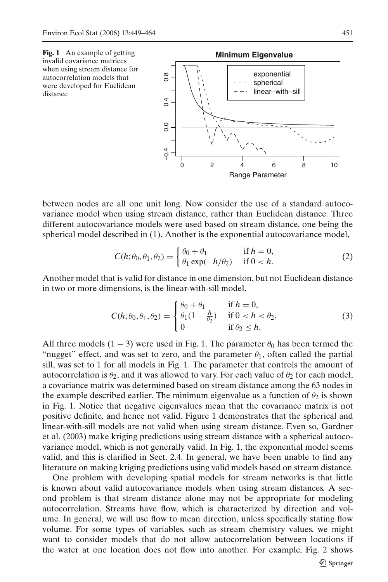

between nodes are all one unit long. Now consider the use of a standard autocovariance model when using stream distance, rather than Euclidean distance. Three different autocovariance models were used based on stream distance, one being the spherical model described in (1). Another is the exponential autocovariance model,

$$
C(h; \theta_0, \theta_1, \theta_2) = \begin{cases} \theta_0 + \theta_1 & \text{if } h = 0, \\ \theta_1 \exp(-h/\theta_2) & \text{if } 0 < h. \end{cases} \tag{2}
$$

Another model that is valid for distance in one dimension, but not Euclidean distance in two or more dimensions, is the linear-with-sill model,

$$
C(h; \theta_0, \theta_1, \theta_2) = \begin{cases} \theta_0 + \theta_1 & \text{if } h = 0, \\ \theta_1 (1 - \frac{h}{\theta_2}) & \text{if } 0 < h < \theta_2, \\ 0 & \text{if } \theta_2 \le h. \end{cases}
$$
 (3)

All three models (1 − 3) were used in Fig. 1. The parameter  $\theta_0$  has been termed the "nugget" effect, and was set to zero, and the parameter  $\theta_1$ , often called the partial sill, was set to 1 for all models in Fig. 1. The parameter that controls the amount of autocorrelation is  $\theta_2$ , and it was allowed to vary. For each value of  $\theta_2$  for each model, a covariance matrix was determined based on stream distance among the 63 nodes in the example described earlier. The minimum eigenvalue as a function of  $\theta_2$  is shown in Fig. 1. Notice that negative eigenvalues mean that the covariance matrix is not positive definite, and hence not valid. Figure 1 demonstrates that the spherical and linear-with-sill models are not valid when using stream distance. Even so, Gardner et al. (2003) make kriging predictions using stream distance with a spherical autocovariance model, which is not generally valid. In Fig. 1, the exponential model seems valid, and this is clarified in Sect. 2.4. In general, we have been unable to find any literature on making kriging predictions using valid models based on stream distance.

One problem with developing spatial models for stream networks is that little is known about valid autocovariance models when using stream distances. A second problem is that stream distance alone may not be appropriate for modeling autocorrelation. Streams have flow, which is characterized by direction and volume. In general, we will use flow to mean direction, unless specifically stating flow volume. For some types of variables, such as stream chemistry values, we might want to consider models that do not allow autocorrelation between locations if the water at one location does not flow into another. For example, Fig. 2 shows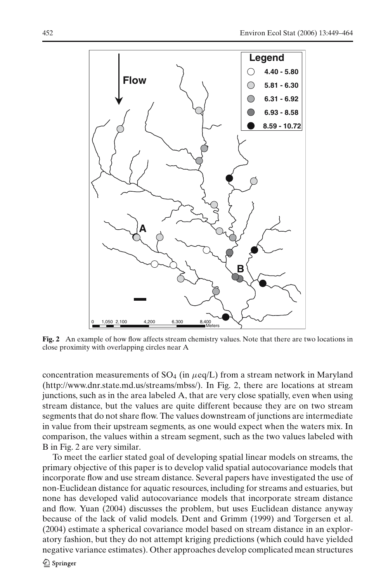

**Fig. 2** An example of how flow affects stream chemistry values. Note that there are two locations in close proximity with overlapping circles near A

concentration measurements of  $SO_4$  (in  $\mu$ eq/L) from a stream network in Maryland (http://www.dnr.state.md.us/streams/mbss/). In Fig. 2, there are locations at stream junctions, such as in the area labeled A, that are very close spatially, even when using stream distance, but the values are quite different because they are on two stream segments that do not share flow. The values downstream of junctions are intermediate in value from their upstream segments, as one would expect when the waters mix. In comparison, the values within a stream segment, such as the two values labeled with B in Fig. 2 are very similar.

To meet the earlier stated goal of developing spatial linear models on streams, the primary objective of this paper is to develop valid spatial autocovariance models that incorporate flow and use stream distance. Several papers have investigated the use of non-Euclidean distance for aquatic resources, including for streams and estuaries, but none has developed valid autocovariance models that incorporate stream distance and flow. Yuan (2004) discusses the problem, but uses Euclidean distance anyway because of the lack of valid models. Dent and Grimm (1999) and Torgersen et al. (2004) estimate a spherical covariance model based on stream distance in an exploratory fashion, but they do not attempt kriging predictions (which could have yielded negative variance estimates). Other approaches develop complicated mean structures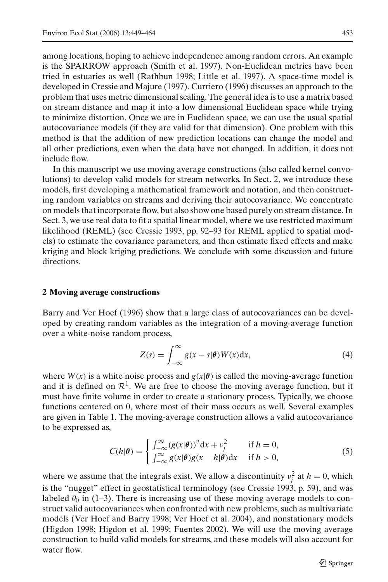among locations, hoping to achieve independence among random errors. An example is the SPARROW approach (Smith et al. 1997). Non-Euclidean metrics have been tried in estuaries as well (Rathbun 1998; Little et al. 1997). A space-time model is developed in Cressie and Majure (1997). Curriero (1996) discusses an approach to the problem that uses metric dimensional scaling. The general idea is to use a matrix based on stream distance and map it into a low dimensional Euclidean space while trying to minimize distortion. Once we are in Euclidean space, we can use the usual spatial autocovariance models (if they are valid for that dimension). One problem with this method is that the addition of new prediction locations can change the model and all other predictions, even when the data have not changed. In addition, it does not include flow.

In this manuscript we use moving average constructions (also called kernel convolutions) to develop valid models for stream networks. In Sect. 2, we introduce these models, first developing a mathematical framework and notation, and then constructing random variables on streams and deriving their autocovariance. We concentrate on models that incorporate flow, but also show one based purely on stream distance. In Sect. 3, we use real data to fit a spatial linear model, where we use restricted maximum likelihood (REML) (see Cressie 1993, pp. 92–93 for REML applied to spatial models) to estimate the covariance parameters, and then estimate fixed effects and make kriging and block kriging predictions. We conclude with some discussion and future directions.

## **2 Moving average constructions**

Barry and Ver Hoef (1996) show that a large class of autocovariances can be developed by creating random variables as the integration of a moving-average function over a white-noise random process,

$$
Z(s) = \int_{-\infty}^{\infty} g(x - s | \theta) W(x) dx,
$$
\n(4)

where  $W(x)$  is a white noise process and  $g(x|\theta)$  is called the moving-average function and it is defined on  $\mathcal{R}^1$ . We are free to choose the moving average function, but it must have finite volume in order to create a stationary process. Typically, we choose functions centered on 0, where most of their mass occurs as well. Several examples are given in Table 1. The moving-average construction allows a valid autocovariance to be expressed as,

$$
C(h|\theta) = \begin{cases} \int_{-\infty}^{\infty} (g(x|\theta))^2 dx + v_j^2 & \text{if } h = 0, \\ \int_{-\infty}^{\infty} g(x|\theta) g(x - h|\theta) dx & \text{if } h > 0, \end{cases}
$$
(5)

where we assume that the integrals exist. We allow a discontinuity  $v_j^2$  at  $h = 0$ , which is the "nugget" effect in geostatistical terminology (see Cressie 1993, p. 59), and was labeled  $\theta_0$  in (1–3). There is increasing use of these moving average models to construct valid autocovariances when confronted with new problems, such as multivariate models (Ver Hoef and Barry 1998; Ver Hoef et al. 2004), and nonstationary models (Higdon 1998; Higdon et al. 1999; Fuentes 2002). We will use the moving average construction to build valid models for streams, and these models will also account for water flow.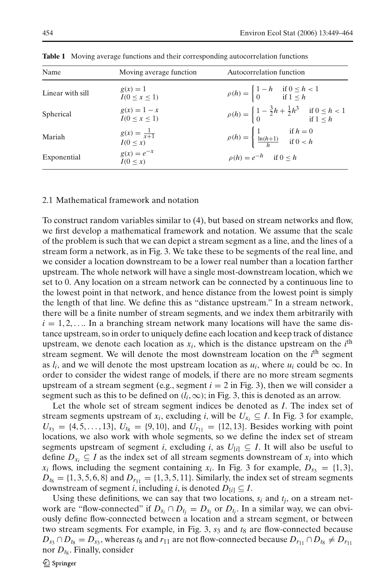| Name             | Moving average function                | Autocorrelation function                                                                                                 |  |
|------------------|----------------------------------------|--------------------------------------------------------------------------------------------------------------------------|--|
| Linear with sill | $g(x) = 1$<br>$I(0 \leq x \leq 1)$     | $\rho(h) = \begin{cases} 1 - h & \text{if } 0 \le h < 1 \\ 0 & \text{if } 1 < h \end{cases}$                             |  |
| Spherical        | $g(x) = 1 - x$<br>$I(0 \leq x \leq 1)$ | $\rho(h) = \begin{cases} 1 - \frac{3}{2}h + \frac{1}{2}h^3 & \text{if } 0 \le h < 1 \\ 0 & \text{if } 1 < h \end{cases}$ |  |
| Mariah           | $g(x) = \frac{1}{x+1}$<br>$I(0 \le x)$ | $\rho(h) = \begin{cases} 1 & \text{if } h = 0 \\ \frac{\ln(h+1)}{h} & \text{if } 0 < h \end{cases}$                      |  |
| Exponential      | $g(x) = e^{-x}$<br>$I(0 \leq x)$       | $\rho(h) = e^{-h}$ if $0 \leq h$                                                                                         |  |

**Table 1** Moving average functions and their corresponding autocorrelation functions

## 2.1 Mathematical framework and notation

To construct random variables similar to (4), but based on stream networks and flow, we first develop a mathematical framework and notation. We assume that the scale of the problem is such that we can depict a stream segment as a line, and the lines of a stream form a network, as in Fig. 3. We take these to be segments of the real line, and we consider a location downstream to be a lower real number than a location farther upstream. The whole network will have a single most-downstream location, which we set to 0. Any location on a stream network can be connected by a continuous line to the lowest point in that network, and hence distance from the lowest point is simply the length of that line. We define this as "distance upstream." In a stream network, there will be a finite number of stream segments, and we index them arbitrarily with  $i = 1, 2, \ldots$  In a branching stream network many locations will have the same distance upstream, so in order to uniquely define each location and keep track of distance upstream, we denote each location as  $x_i$ , which is the distance upstream on the  $i<sup>th</sup>$ stream segment. We will denote the most downstream location on the *i*<sup>th</sup> segment as  $l_i$ , and we will denote the most upstream location as  $u_i$ , where  $u_i$  could be  $\infty$ . In order to consider the widest range of models, if there are no more stream segments upstream of a stream segment (e.g., segment  $i = 2$  in Fig. 3), then we will consider a segment such as this to be defined on  $(l_i, \infty)$ ; in Fig. 3, this is denoted as an arrow.

Let the whole set of stream segment indices be denoted as *I*. The index set of stream segments upstream of  $x_i$ , excluding *i*, will be  $U_{x_i} \subseteq I$ . In Fig. 3 for example,  $U_{s_3} = \{4, 5, \ldots, 13\}, U_{t_8} = \{9, 10\}, \text{ and } U_{r_{11}} = \{12, 13\}.$  Besides working with point locations, we also work with whole segments, so we define the index set of stream segments upstream of segment *i*, excluding *i*, as  $U_{[i]} \subseteq I$ . It will also be useful to define *D<sub>x<sub>i</sub>*</sub> ⊆ *I* as the index set of all stream segments downstream of  $x_i$  into which  $x_i$  flows, including the segment containing  $x_i$ . In Fig. 3 for example,  $D_{s_3} = \{1,3\}$ ,  $D_{t_8} = \{1, 3, 5, 6, 8\}$  and  $D_{r_{11}} = \{1, 3, 5, 11\}$ . Similarly, the index set of stream segments downstream of segment *i*, including *i*, is denoted  $D_{[i]} \subseteq I$ .

Using these definitions, we can say that two locations,  $s_i$  and  $t_j$ , on a stream network are "flow-connected" if  $D_{s_i} \cap D_{t_j} = D_{s_i}$  or  $D_{t_j}$ . In a similar way, we can obviously define flow-connected between a location and a stream segment, or between two stream segments. For example, in Fig. 3,  $s_3$  and  $t_8$  are flow-connected because  $D_{s_3} \cap D_{t_8} = D_{s_3}$ , whereas  $t_8$  and  $r_{11}$  are not flow-connected because  $D_{r_{11}} \cap D_{t_8} \neq D_{r_{11}}$ nor  $D_{ts}$ . Finally, consider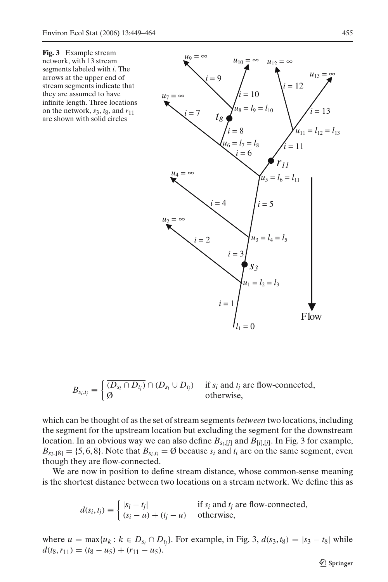**Fig. 3** Example stream network, with 13 stream segments labeled with *i*. The arrows at the upper end of stream segments indicate that they are assumed to have infinite length. Three locations on the network,  $s_3$ ,  $t_8$ , and  $r_{11}$ are shown with solid circles



$$
B_{s_i,t_j} \equiv \begin{cases} \overline{(D_{s_i} \cap D_{t_j})} \cap (D_{s_i} \cup D_{t_j}) & \text{if } s_i \text{ and } t_j \text{ are flow-connected,} \\ \emptyset & \text{otherwise,} \end{cases}
$$

which can be thought of as the set of stream segments *between* two locations, including the segment for the upstream location but excluding the segment for the downstream location. In an obvious way we can also define  $B_{s_i,[j]}$  and  $B_{[i],[j]}$ . In Fig. 3 for example,  $B_{s_3,[8]} = \{5,6,8\}$ . Note that  $B_{s_i,t_i} = \emptyset$  because  $s_i$  and  $t_i$  are on the same segment, even though they are flow-connected.

We are now in position to define stream distance, whose common-sense meaning is the shortest distance between two locations on a stream network. We define this as

> $d(s_i, t_j) \equiv \begin{cases} |s_i - t_j| & \text{if } s_i \text{ and } t_j \text{ are flow-connected,} \\ (s_i, t_j) + (t_i, t_j) & \text{otherwise.} \end{cases}$  $(s_i - u) + (t_j - u)$  otherwise,

where *u* = max{*u<sub>k</sub>* : *k* ∈ *D*<sub>*s<sub>i</sub>*</sub> ∩ *D*<sub>*t<sub>j</sub>*}. For example, in Fig. 3, *d*(*s*<sub>3</sub>, *t*<sub>8</sub>) = |*s*<sub>3</sub> − *t*<sub>8</sub>| while</sub>  $d(t_8, r_{11}) = (t_8 - u_5) + (r_{11} - u_5).$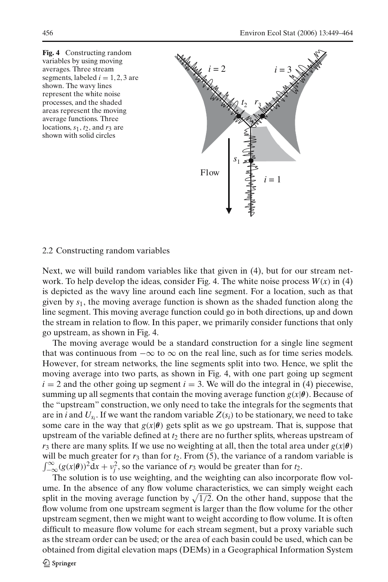



#### 2.2 Constructing random variables

Next, we will build random variables like that given in (4), but for our stream network. To help develop the ideas, consider Fig. 4. The white noise process  $W(x)$  in (4) is depicted as the wavy line around each line segment. For a location, such as that given by *s*1, the moving average function is shown as the shaded function along the line segment. This moving average function could go in both directions, up and down the stream in relation to flow. In this paper, we primarily consider functions that only go upstream, as shown in Fig. 4.

The moving average would be a standard construction for a single line segment that was continuous from  $-\infty$  to  $\infty$  on the real line, such as for time series models. However, for stream networks, the line segments split into two. Hence, we split the moving average into two parts, as shown in Fig. 4, with one part going up segment  $i = 2$  and the other going up segment  $i = 3$ . We will do the integral in (4) piecewise, summing up all segments that contain the moving average function  $g(x|\theta)$ . Because of the "upstream" construction, we only need to take the integrals for the segments that are in *i* and  $U_{s_i}$ . If we want the random variable  $Z(s_i)$  to be stationary, we need to take some care in the way that  $g(x|\theta)$  gets split as we go upstream. That is, suppose that upstream of the variable defined at  $t_2$  there are no further splits, whereas upstream of *r*<sub>3</sub> there are many splits. If we use no weighting at all, then the total area under  $g(x|\theta)$ will be much greater for  $r_3$  than for  $t_2$ . From (5), the variance of a random variable is  $\int_{-\infty}^{\infty} (g(x|\theta))^2 dx + v_j^2$ , so the variance of *r*<sub>3</sub> would be greater than for *t*<sub>2</sub>.

The solution is to use weighting, and the weighting can also incorporate flow volume. In the absence of any flow volume characteristics, we can simply weight each split in the moving average function by  $\sqrt{1/2}$ . On the other hand, suppose that the flow volume from one upstream segment is larger than the flow volume for the other upstream segment, then we might want to weight according to flow volume. It is often difficult to measure flow volume for each stream segment, but a proxy variable such as the stream order can be used; or the area of each basin could be used, which can be obtained from digital elevation maps (DEMs) in a Geographical Information System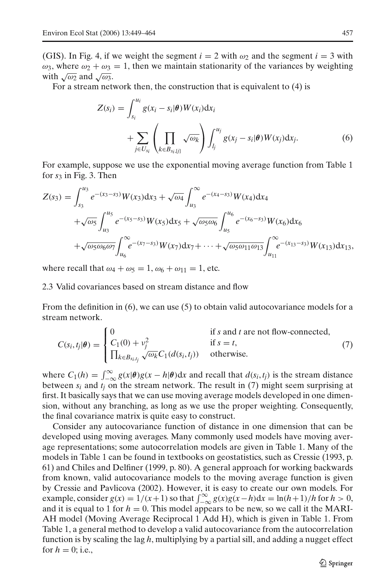(GIS). In Fig. 4, if we weight the segment  $i = 2$  with  $\omega_2$  and the segment  $i = 3$  with  $\omega_3$ , where  $\omega_2 + \omega_3 = 1$ , then we maintain stationarity of the variances by weighting with  $\sqrt{\omega_2}$  and  $\sqrt{\omega_3}$ .

For a stream network then, the construction that is equivalent to (4) is

$$
Z(s_i) = \int_{s_i}^{u_i} g(x_i - s_i | \boldsymbol{\theta}) W(x_i) dx_i
$$
  
+ 
$$
\sum_{j \in U_{s_i}} \left( \prod_{k \in B_{s_i, [j]}} \sqrt{\omega_k} \right) \int_{l_j}^{u_j} g(x_j - s_i | \boldsymbol{\theta}) W(x_j) dx_j.
$$
 (6)

For example, suppose we use the exponential moving average function from Table 1 for  $s_3$  in Fig. 3. Then

$$
Z(s_3) = \int_{s_3}^{u_3} e^{-(x_3 - s_3)} W(x_3) dx_3 + \sqrt{\omega_4} \int_{u_3}^{\infty} e^{-(x_4 - s_3)} W(x_4) dx_4
$$
  
+  $\sqrt{\omega_5} \int_{u_3}^{u_5} e^{-(x_5 - s_3)} W(x_5) dx_5 + \sqrt{\omega_5 \omega_6} \int_{u_5}^{u_6} e^{-(x_6 - s_3)} W(x_6) dx_6$   
+  $\sqrt{\omega_5 \omega_6 \omega_7} \int_{u_6}^{\infty} e^{-(x_7 - s_3)} W(x_7) dx_7 + \dots + \sqrt{\omega_5 \omega_{11} \omega_{13}} \int_{u_{11}}^{\infty} e^{-(x_{13} - s_3)} W(x_{13}) dx_{13},$ 

where recall that  $\omega_4 + \omega_5 = 1$ ,  $\omega_6 + \omega_{11} = 1$ , etc.

2.3 Valid covariances based on stream distance and flow

From the definition in (6), we can use (5) to obtain valid autocovariance models for a stream network.

$$
C(s_i, t_j | \theta) = \begin{cases} 0 & \text{if } s \text{ and } t \text{ are not flow-connected,} \\ C_1(0) + v_j^2 & \text{if } s = t, \\ \prod_{k \in B_{s_i, t_j}} \sqrt{\omega_k} C_1(d(s_i, t_j)) & \text{otherwise.} \end{cases}
$$
(7)

where  $C_1(h) = \int_{-\infty}^{\infty} g(x|\theta)g(x-h|\theta)dx$  and recall that  $d(s_i,t_j)$  is the stream distance between  $s_i$  and  $t_i$  on the stream network. The result in  $(7)$  might seem surprising at first. It basically says that we can use moving average models developed in one dimension, without any branching, as long as we use the proper weighting. Consequently, the final covariance matrix is quite easy to construct.

Consider any autocovariance function of distance in one dimension that can be developed using moving averages. Many commonly used models have moving average representations; some autocorrelation models are given in Table 1. Many of the models in Table 1 can be found in textbooks on geostatistics, such as Cressie (1993, p. 61) and Chiles and Delfiner (1999, p. 80). A general approach for working backwards from known, valid autocovariance models to the moving average function is given by Cressie and Pavlicova (2002). However, it is easy to create our own models. For example, consider  $g(x) = 1/(x+1)$  so that  $\int_{-\infty}^{\infty} g(x)g(x-h)dx = \ln(h+1)/h$  for  $h > 0$ , and it is equal to 1 for  $h = 0$ . This model appears to be new, so we call it the MARI-AH model (Moving Average Reciprocal 1 Add H), which is given in Table 1. From Table 1, a general method to develop a valid autocovariance from the autocorrelation function is by scaling the lag *h*, multiplying by a partial sill, and adding a nugget effect for  $h = 0$ ; i.e.,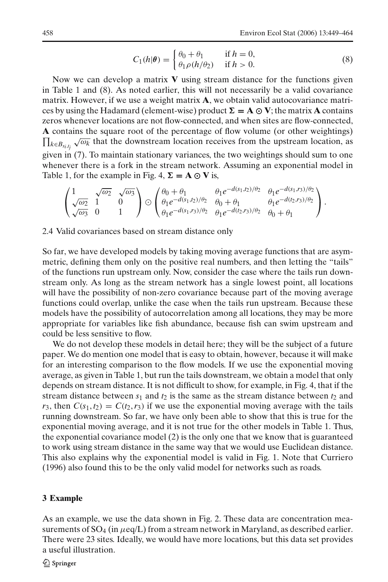$$
C_1(h|\theta) = \begin{cases} \theta_0 + \theta_1 & \text{if } h = 0, \\ \theta_1 \rho(h/\theta_2) & \text{if } h > 0. \end{cases}
$$
 (8)

Now we can develop a matrix **V** using stream distance for the functions given in Table 1 and (8). As noted earlier, this will not necessarily be a valid covariance matrix. However, if we use a weight matrix **A**, we obtain valid autocovariance matrices by using the Hadamard (element-wise) product  $\Sigma = A \odot V$ ; the matrix **A** contains zeros whenever locations are not flow-connected, and when sites are flow-connected, **A** contains the square root of the percentage of flow volume (or other weightings)  $\prod_{k \in B_{s_i,t_j}} \sqrt{\omega_k}$  that the downstream location receives from the upstream location, as given in (7). To maintain stationary variances, the two weightings should sum to one whenever there is a fork in the stream network. Assuming an exponential model in Table 1, for the example in Fig. 4,  $\Sigma = A \odot V$  is,

$$
\begin{pmatrix} 1 & \sqrt{\omega_2} & \sqrt{\omega_3} \\ \sqrt{\omega_2} & 1 & 0 \\ \sqrt{\omega_3} & 0 & 1 \end{pmatrix} \odot \begin{pmatrix} \theta_0 + \theta_1 & \theta_1 e^{-d(s_1,t_2)/\theta_2} & \theta_1 e^{-d(s_1,t_3)/\theta_2} \\ \theta_1 e^{-d(s_1,t_2)/\theta_2} & \theta_0 + \theta_1 & \theta_1 e^{-d(t_2,t_3)/\theta_2} \\ \theta_1 e^{-d(s_1,t_3)/\theta_2} & \theta_1 e^{-d(t_2,t_3)/\theta_2} & \theta_0 + \theta_1 \end{pmatrix}.
$$

#### 2.4 Valid covariances based on stream distance only

So far, we have developed models by taking moving average functions that are asymmetric, defining them only on the positive real numbers, and then letting the "tails" of the functions run upstream only. Now, consider the case where the tails run downstream only. As long as the stream network has a single lowest point, all locations will have the possibility of non-zero covariance because part of the moving average functions could overlap, unlike the case when the tails run upstream. Because these models have the possibility of autocorrelation among all locations, they may be more appropriate for variables like fish abundance, because fish can swim upstream and could be less sensitive to flow.

We do not develop these models in detail here; they will be the subject of a future paper. We do mention one model that is easy to obtain, however, because it will make for an interesting comparison to the flow models. If we use the exponential moving average, as given in Table 1, but run the tails downstream, we obtain a model that only depends on stream distance. It is not difficult to show, for example, in Fig. 4, that if the stream distance between  $s_1$  and  $t_2$  is the same as the stream distance between  $t_2$  and  $r_3$ , then  $C(s_1, t_2) = C(t_2, r_3)$  if we use the exponential moving average with the tails running downstream. So far, we have only been able to show that this is true for the exponential moving average, and it is not true for the other models in Table 1. Thus, the exponential covariance model (2) is the only one that we know that is guaranteed to work using stream distance in the same way that we would use Euclidean distance. This also explains why the exponential model is valid in Fig. 1. Note that Curriero (1996) also found this to be the only valid model for networks such as roads.

## **3 Example**

As an example, we use the data shown in Fig. 2. These data are concentration measurements of  $SO_4$  (in  $\mu$ eq/L) from a stream network in Maryland, as described earlier. There were 23 sites. Ideally, we would have more locations, but this data set provides a useful illustration.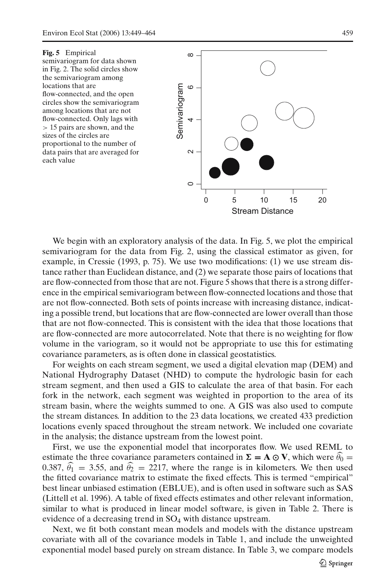

We begin with an exploratory analysis of the data. In Fig. 5, we plot the empirical semivariogram for the data from Fig. 2, using the classical estimator as given, for example, in Cressie (1993, p. 75). We use two modifications: (1) we use stream distance rather than Euclidean distance, and (2) we separate those pairs of locations that are flow-connected from those that are not. Figure 5 shows that there is a strong difference in the empirical semivariogram between flow-connected locations and those that are not flow-connected. Both sets of points increase with increasing distance, indicating a possible trend, but locations that are flow-connected are lower overall than those that are not flow-connected. This is consistent with the idea that those locations that are flow-connected are more autocorrelated. Note that there is no weighting for flow volume in the variogram, so it would not be appropriate to use this for estimating covariance parameters, as is often done in classical geostatistics.

For weights on each stream segment, we used a digital elevation map (DEM) and National Hydrography Dataset (NHD) to compute the hydrologic basin for each stream segment, and then used a GIS to calculate the area of that basin. For each fork in the network, each segment was weighted in proportion to the area of its stream basin, where the weights summed to one. A GIS was also used to compute the stream distances. In addition to the 23 data locations, we created 433 prediction locations evenly spaced throughout the stream network. We included one covariate in the analysis; the distance upstream from the lowest point.

First, we use the exponential model that incorporates flow. We used REML to estimate the three covariance parameters contained in  $\Sigma = A \odot V$ , which were  $\hat{\theta}_0 = 0.297 \hat{\theta} = 2.55$  and  $\hat{\theta} = 2317$  where the gauge is in hilamateur. We then we define 0.387,  $\hat{\theta}_1 = 3.55$ , and  $\hat{\theta}_2 = 2217$ , where the range is in kilometers. We then used the fitted covariance matrix to estimate the fixed effects. This is termed "empirical" best linear unbiased estimation (EBLUE), and is often used in software such as SAS (Littell et al. 1996). A table of fixed effects estimates and other relevant information, similar to what is produced in linear model software, is given in Table 2. There is evidence of a decreasing trend in SO<sub>4</sub> with distance upstream.

Next, we fit both constant mean models and models with the distance upstream covariate with all of the covariance models in Table 1, and include the unweighted exponential model based purely on stream distance. In Table 3, we compare models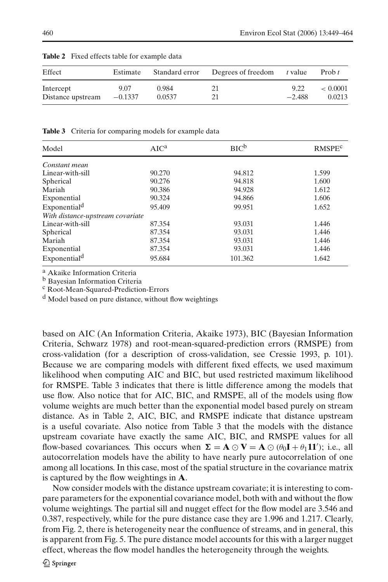| Effect            | Estimate  | Standard error | Degrees of freedom | $t$ value | Prob $t$ |
|-------------------|-----------|----------------|--------------------|-----------|----------|
| Intercept         | 9.07      | 0.984          | 21                 | 9.22      | < 0.0001 |
| Distance upstream | $-0.1337$ | 0.0537         | 21                 | $-2.488$  | 0.0213   |

**Table 2** Fixed effects table for example data

**Table 3** Criteria for comparing models for example data

| Model                            | $AIC^a$ | $BIC^b$ | RMSPE <sup>c</sup> |
|----------------------------------|---------|---------|--------------------|
| Constant mean                    |         |         |                    |
| Linear-with-sill                 | 90.270  | 94.812  | 1.599              |
| Spherical                        | 90.276  | 94.818  | 1.600              |
| Mariah                           | 90.386  | 94.928  | 1.612              |
| Exponential                      | 90.324  | 94.866  | 1.606              |
| Exponential <sup>d</sup>         | 95.409  | 99.951  | 1.652              |
| With distance-upstream covariate |         |         |                    |
| Linear-with-sill                 | 87.354  | 93.031  | 1.446              |
| Spherical                        | 87.354  | 93.031  | 1.446              |
| Mariah                           | 87.354  | 93.031  | 1.446              |
| Exponential                      | 87.354  | 93.031  | 1.446              |
| Exponential <sup>d</sup>         | 95.684  | 101.362 | 1.642              |

<sup>a</sup> Akaike Information Criteria

<sup>b</sup> Bayesian Information Criteria

<sup>c</sup> Root-Mean-Squared-Prediction-Errors

<sup>d</sup> Model based on pure distance, without flow weightings

based on AIC (An Information Criteria, Akaike 1973), BIC (Bayesian Information Criteria, Schwarz 1978) and root-mean-squared-prediction errors (RMSPE) from cross-validation (for a description of cross-validation, see Cressie 1993, p. 101). Because we are comparing models with different fixed effects, we used maximum likelihood when computing AIC and BIC, but used restricted maximum likelihood for RMSPE. Table 3 indicates that there is little difference among the models that use flow. Also notice that for AIC, BIC, and RMSPE, all of the models using flow volume weights are much better than the exponential model based purely on stream distance. As in Table 2, AIC, BIC, and RMSPE indicate that distance upstream is a useful covariate. Also notice from Table 3 that the models with the distance upstream covariate have exactly the same AIC, BIC, and RMSPE values for all flow-based covariances. This occurs when  $\Sigma = A \odot V = A \odot (\theta_0 I + \theta_1 11')$ ; i.e., all autocorrelation models have the ability to have nearly pure autocorrelation of one among all locations. In this case, most of the spatial structure in the covariance matrix is captured by the flow weightings in **A**.

Now consider models with the distance upstream covariate; it is interesting to compare parameters for the exponential covariance model, both with and without the flow volume weightings. The partial sill and nugget effect for the flow model are 3.546 and 0.387, respectively, while for the pure distance case they are 1.996 and 1.217. Clearly, from Fig. 2, there is heterogeneity near the confluence of streams, and in general, this is apparent from Fig. 5. The pure distance model accounts for this with a larger nugget effect, whereas the flow model handles the heterogeneity through the weights.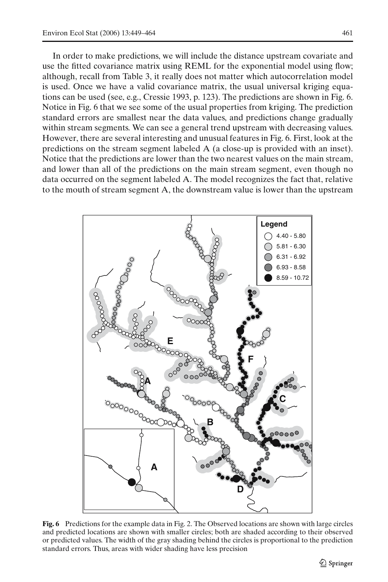In order to make predictions, we will include the distance upstream covariate and use the fitted covariance matrix using REML for the exponential model using flow; although, recall from Table 3, it really does not matter which autocorrelation model is used. Once we have a valid covariance matrix, the usual universal kriging equations can be used (see, e.g., Cressie 1993, p. 123). The predictions are shown in Fig. 6. Notice in Fig. 6 that we see some of the usual properties from kriging. The prediction standard errors are smallest near the data values, and predictions change gradually within stream segments. We can see a general trend upstream with decreasing values. However, there are several interesting and unusual features in Fig. 6. First, look at the predictions on the stream segment labeled A (a close-up is provided with an inset). Notice that the predictions are lower than the two nearest values on the main stream, and lower than all of the predictions on the main stream segment, even though no data occurred on the segment labeled A. The model recognizes the fact that, relative to the mouth of stream segment A, the downstream value is lower than the upstream



**Fig. 6** Predictions for the example data in Fig. 2. The Observed locations are shown with large circles and predicted locations are shown with smaller circles; both are shaded according to their observed or predicted values. The width of the gray shading behind the circles is proportional to the prediction standard errors. Thus, areas with wider shading have less precision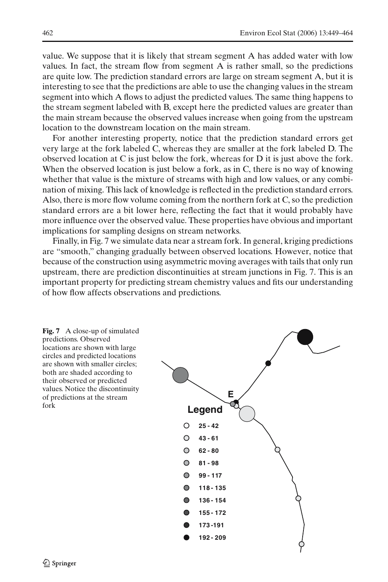value. We suppose that it is likely that stream segment A has added water with low values. In fact, the stream flow from segment A is rather small, so the predictions are quite low. The prediction standard errors are large on stream segment A, but it is interesting to see that the predictions are able to use the changing values in the stream segment into which A flows to adjust the predicted values. The same thing happens to the stream segment labeled with B, except here the predicted values are greater than the main stream because the observed values increase when going from the upstream location to the downstream location on the main stream.

For another interesting property, notice that the prediction standard errors get very large at the fork labeled C, whereas they are smaller at the fork labeled D. The observed location at C is just below the fork, whereas for D it is just above the fork. When the observed location is just below a fork, as in C, there is no way of knowing whether that value is the mixture of streams with high and low values, or any combination of mixing. This lack of knowledge is reflected in the prediction standard errors. Also, there is more flow volume coming from the northern fork at C, so the prediction standard errors are a bit lower here, reflecting the fact that it would probably have more influence over the observed value. These properties have obvious and important implications for sampling designs on stream networks.

Finally, in Fig. 7 we simulate data near a stream fork. In general, kriging predictions are "smooth," changing gradually between observed locations. However, notice that because of the construction using asymmetric moving averages with tails that only run upstream, there are prediction discontinuities at stream junctions in Fig. 7. This is an important property for predicting stream chemistry values and fits our understanding of how flow affects observations and predictions.

**Fig. 7** A close-up of simulated predictions. Observed locations are shown with large circles and predicted locations are shown with smaller circles; both are shaded according to their observed or predicted values. Notice the discontinuity of predictions at the stream fork

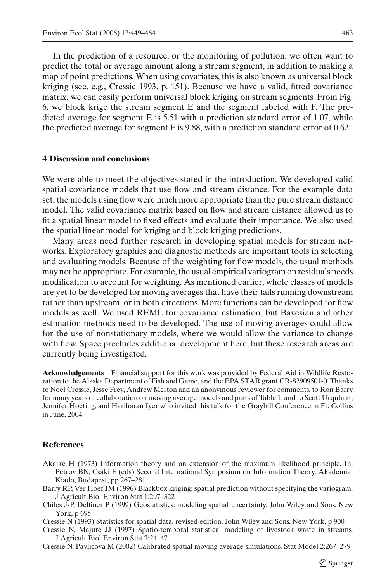In the prediction of a resource, or the monitoring of pollution, we often want to predict the total or average amount along a stream segment, in addition to making a map of point predictions. When using covariates, this is also known as universal block kriging (see, e.g., Cressie 1993, p. 151). Because we have a valid, fitted covariance matrix, we can easily perform universal block kriging on stream segments. From Fig. 6, we block krige the stream segment E and the segment labeled with F. The predicted average for segment E is 5.51 with a prediction standard error of 1.07, while the predicted average for segment F is 9.88, with a prediction standard error of 0.62.

#### **4 Discussion and conclusions**

We were able to meet the objectives stated in the introduction. We developed valid spatial covariance models that use flow and stream distance. For the example data set, the models using flow were much more appropriate than the pure stream distance model. The valid covariance matrix based on flow and stream distance allowed us to fit a spatial linear model to fixed effects and evaluate their importance. We also used the spatial linear model for kriging and block kriging predictions.

Many areas need further research in developing spatial models for stream networks. Exploratory graphics and diagnostic methods are important tools in selecting and evaluating models. Because of the weighting for flow models, the usual methods may not be appropriate. For example, the usual empirical variogram on residuals needs modification to account for weighting. As mentioned earlier, whole classes of models are yet to be developed for moving averages that have their tails running downstream rather than upstream, or in both directions. More functions can be developed for flow models as well. We used REML for covariance estimation, but Bayesian and other estimation methods need to be developed. The use of moving averages could allow for the use of nonstationary models, where we would allow the variance to change with flow. Space precludes additional development here, but these research areas are currently being investigated.

**Acknowledgements** Financial support for this work was provided by Federal Aid in Wildlife Restoration to the Alaska Department of Fish and Game, and the EPA STAR grant CR-82909501-0. Thanks to Noel Cressie, Jesse Frey, Andrew Merton and an anonymous reviewer for comments, to Ron Barry for many years of collaboration on moving average models and parts of Table 1, and to Scott Urquhart, Jennifer Hoeting, and Hariharan Iyer who invited this talk for the Graybill Conference in Ft. Collins in June, 2004.

#### **References**

- Akaike H (1973) Information theory and an extension of the maximum likelihood principle. In: Petrov BN, Csaki F (eds) Second International Symposium on Information Theory. Akademiai Kiado, Budapest, pp 267–281
- Barry RP, Ver Hoef JM (1996) Blackbox kriging: spatial prediction without specifying the variogram. J Agricult Biol Environ Stat 1:297–322
- Chiles J-P, Delfiner P (1999) Geostatistics: modeling spatial uncertainty. John Wiley and Sons, New York, p 695
- Cressie N (1993) Statistics for spatial data, revised edition. John Wiley and Sons, New York, p 900

Cressie N, Majure JJ (1997) Spatio-temporal statistical modeling of livestock waste in streams. J Agricult Biol Environ Stat 2:24–47

Cressie N, Pavlicova M (2002) Calibrated spatial moving average simulations. Stat Model 2:267–279